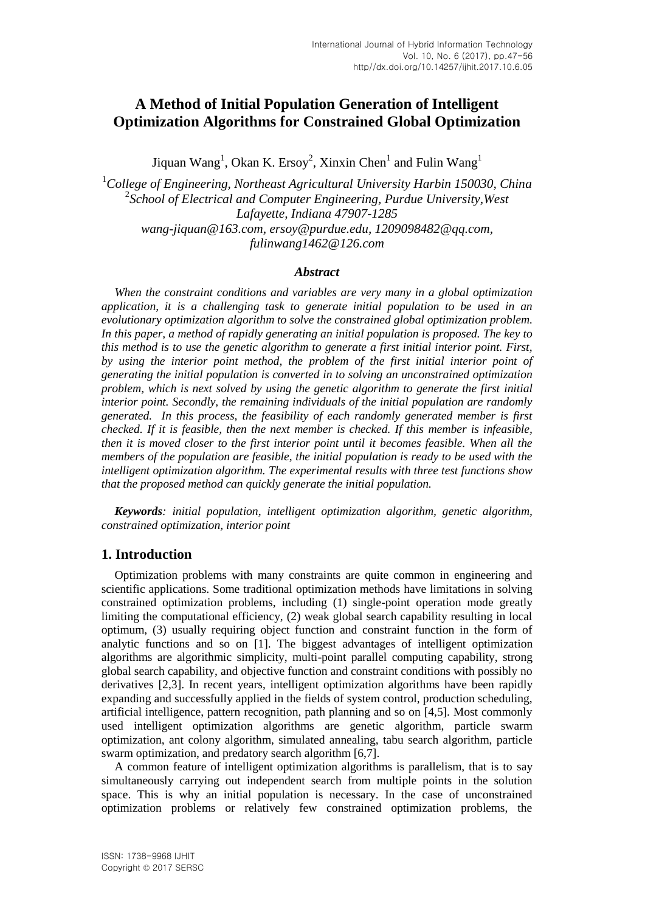# **A Method of Initial Population Generation of Intelligent Optimization Algorithms for Constrained Global Optimization**

Jiquan Wang<sup>1</sup>, Okan K. Ersoy<sup>2</sup>, Xinxin Chen<sup>1</sup> and Fulin Wang<sup>1</sup>

<sup>1</sup>*College of Engineering, Northeast Agricultural University Harbin 150030, China* <sup>2</sup> School of Electrical and Computer Engineering, Purdue University, West *Lafayette, Indiana 47907-1285 [wang-jiquan@163.com,](mailto:wang-jiquan@163.com) [ersoy@purdue.edu,](mailto:ersoy@purdue.edu) [1209098482@qq.com,](mailto:1209098482@qq.com) fulinwang1462@126.com*

## *Abstract*

*When the constraint conditions and variables are very many in a global optimization application, it is a challenging task to generate initial population to be used in an evolutionary optimization algorithm to solve the constrained global optimization problem. In this paper, a method of rapidly generating an initial population is proposed. The key to this method is to use the genetic algorithm to generate a first initial interior point. First, by using the interior point method, the problem of the first initial interior point of generating the initial population is converted in to solving an unconstrained optimization problem, which is next solved by using the genetic algorithm to generate the first initial interior point. Secondly, the remaining individuals of the initial population are randomly generated. In this process, the feasibility of each randomly generated member is first checked. If it is feasible, then the next member is checked. If this member is infeasible, then it is moved closer to the first interior point until it becomes feasible. When all the members of the population are feasible, the initial population is ready to be used with the intelligent optimization algorithm. The experimental results with three test functions show that the proposed method can quickly generate the initial population.*

*Keywords: initial population, intelligent optimization algorithm, genetic algorithm, constrained optimization, interior point*

# **1. Introduction**

Optimization problems with many constraints are quite common in engineering and scientific applications. Some traditional optimization methods have limitations in solving constrained optimization problems, including (1) single-point operation mode greatly limiting the computational efficiency, (2) weak global search capability resulting in local optimum, (3) usually requiring object function and constraint function in the form of analytic functions and so on [1]. The biggest advantages of intelligent optimization algorithms are algorithmic simplicity, multi-point parallel computing capability, strong global search capability, and objective function and constraint conditions with possibly no derivatives [2,3]. In recent years, intelligent optimization algorithms have been rapidly expanding and successfully applied in the fields of system control, production scheduling, artificial intelligence, pattern recognition, path planning and so on [4,5]. Most commonly used intelligent optimization algorithms are genetic algorithm, particle swarm optimization, ant colony algorithm, simulated annealing, tabu search algorithm, particle swarm optimization, and predatory search algorithm [6,7].

A common feature of intelligent optimization algorithms is parallelism, that is to say simultaneously carrying out independent search from multiple points in the solution space. This is why an initial population is necessary. In the case of unconstrained optimization problems or relatively few constrained optimization problems, the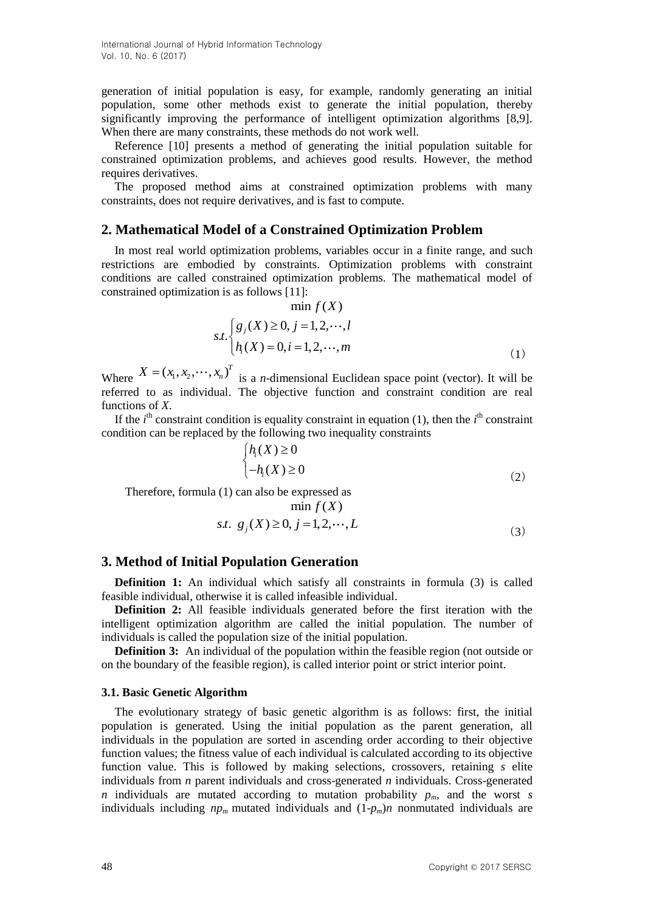International Journal of Hybrid Information Technology Vol. 10, No. 6 (2017)

generation of initial population is easy, for example, randomly generating an initial population, some other methods exist to generate the initial population, thereby significantly improving the performance of intelligent optimization algorithms [8,9]. When there are many constraints, these methods do not work well.

Reference [10] presents a method of generating the initial population suitable for constrained optimization problems, and achieves good results. However, the method requires derivatives.

The proposed method aims at constrained optimization problems with many constraints, does not require derivatives, and is fast to compute.

## **2. Mathematical Model of a Constrained Optimization Problem**

In most real world optimization problems, variables occur in a finite range, and such restrictions are embodied by constraints. Optimization problems with constraint conditions are called constrained optimization problems. The mathematical model of constrained optimization is as follows [11]:

$$
\min f(X) \n s.t. \n\begin{cases}\n g_j(X) \ge 0, \, j = 1, 2, \cdots, l \\
 h_i(X) = 0, i = 1, 2, \cdots, m\n\end{cases}
$$
\n(1)

Where  $X = (x_1, x_2, \dots, x_n)^T$  is a *n*-dimensional Euclidean space point (vector). It will be referred to as individual. The objective function and constraint condition are real functions of *X*.

If the  $i<sup>th</sup>$  constraint condition is equality constraint in equation (1), then the  $i<sup>th</sup>$  constraint condition can be replaced by the following two inequality constraints

$$
\begin{cases} h_i(X) \ge 0 \\ -h_i(X) \ge 0 \end{cases} \tag{2}
$$

Therefore, formula (1) can also be expressed as

$$
\min f(X)
$$
  
*s.t.*  $g_j(X) \ge 0, j = 1, 2, \cdots, L$  (3)

## **3. Method of Initial Population Generation**

**Definition 1:** An individual which satisfy all constraints in formula (3) is called feasible individual, otherwise it is called infeasible individual.

**Definition 2:** All feasible individuals generated before the first iteration with the intelligent optimization algorithm are called the initial population. The number of individuals is called the population size of the initial population.

**Definition 3:** An individual of the population within the feasible region (not outside or on the boundary of the feasible region), is called interior point or strict interior point.

#### **3.1. Basic Genetic Algorithm**

The evolutionary strategy of basic genetic algorithm is as follows: first, the initial population is generated. Using the initial population as the parent generation, all individuals in the population are sorted in ascending order according to their objective function values; the fitness value of each individual is calculated according to its objective function value. This is followed by making selections, crossovers, retaining *s* elite individuals from *n* parent individuals and cross-generated *n* individuals. Cross-generated *n* individuals are mutated according to mutation probability  $p_m$ , and the worst *s* individuals including  $np_m$  mutated individuals and  $(1-p_m)n$  nonmutated individuals are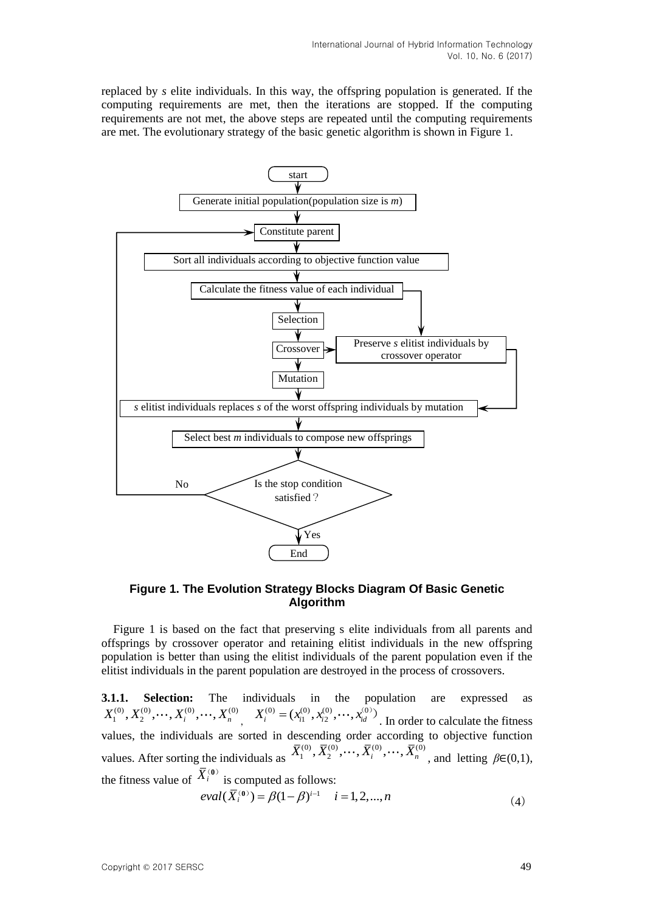replaced by *s* elite individuals. In this way, the offspring population is generated. If the computing requirements are met, then the iterations are stopped. If the computing requirements are not met, the above steps are repeated until the computing requirements are met. The evolutionary strategy of the basic genetic algorithm is shown in Figure 1.



# **Figure 1. The Evolution Strategy Blocks Diagram Of Basic Genetic Algorithm**

Figure 1 is based on the fact that preserving s elite individuals from all parents and offsprings by crossover operator and retaining elitist individuals in the new offspring population is better than using the elitist individuals of the parent population even if the elitist individuals in the parent population are destroyed in the process of crossovers.

**3.1.1. Selection:** The individuals in the population are expressed as  $X_1^{(0)}, X_2^{(0)}, \dots, X_i^{(0)}, \dots, X_n^{(0)}, X_i^{(0)} = (x_{i1}^{(0)}, x_{i2}^{(0)}, \dots, x_{id}^{(0)})$ . In order to calculate the fitness values, the individuals are sorted in descending order according to objective function values. After sorting the individuals as  $(\overline{X}_1^{(0)}, \overline{X}_2^{(0)}, \cdots, \overline{X}_i^{(0)}, \cdots, \overline{X}_n^{(0)}, \text{ and letting } \beta \in (0,1),$ the fitness value of  $\overline{X}_i^{(0)}$  is computed as follows: the individuals as  $\overline{X}_1^{(0)}, \overline{X}_2^{(0)}, \dots, \overline{X}_i^{(0)}, \dots, \overline{X}_i^{(0)}$ <br> *i*s computed as follows:<br> *eval*  $(\overline{X}_i^{(0)}) = \beta(1-\beta)^{i-1}$  *i* = 1, 2, ..., *n* 

$$
eval(\bar{X}_i^{(0)}) = \beta(1-\beta)^{i-1} \quad i = 1, 2, ..., n \tag{4}
$$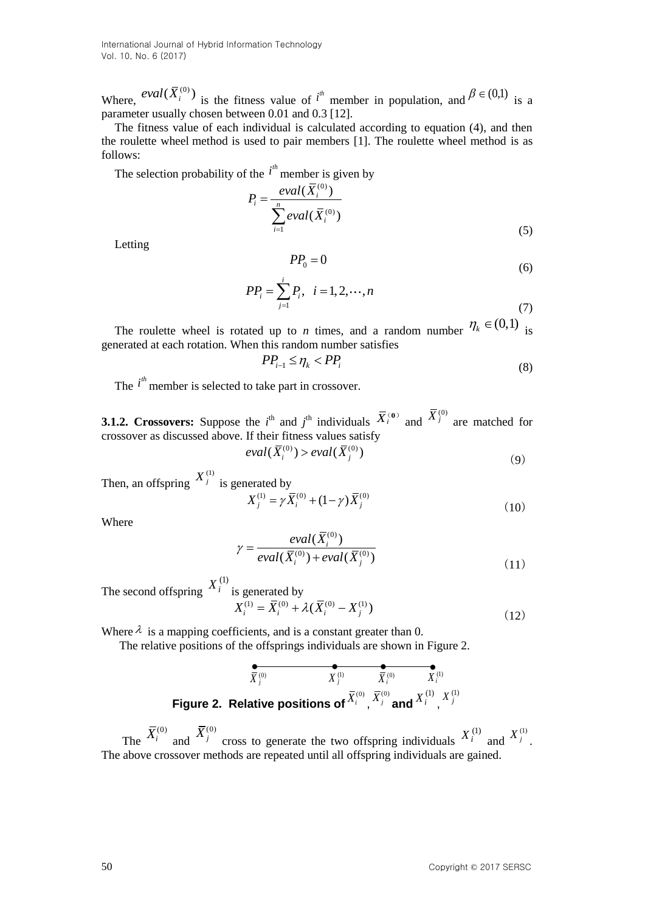International Journal of Hybrid Information Technology Vol. 10, No. 6 (2017)

Where,  $eval(\overline{X}_i^{(0)})$  is the fitness value of  $i^{th}$  member in population, and  $\beta \in (0,1)$  is a parameter usually chosen between 0.01 and 0.3 [12].

The fitness value of each individual is calculated according to equation (4), and then the roulette wheel method is used to pair members [1]. The roulette wheel method is as follows:

The selection probability of the  $i^{th}$  member is given by

$$
P_i = \frac{eval(\overline{X}_i^{(0)})}{\sum_{i=1}^n eval(\overline{X}_i^{(0)})}
$$
\n(5)

Letting

$$
PP_0 = 0\tag{6}
$$

$$
PP_i = \sum_{j=1}^{i} P_i, \quad i = 1, 2, \cdots, n
$$
\n(7)

The roulette wheel is rotated up to *n* times, and a random number  $\eta_k \in (0,1)$  is generated at each rotation. When this random number satisfies

$$
PP_{i-1} \le \eta_k < PP_i \tag{8}
$$

The  $i^{th}$  member is selected to take part in crossover.

**3.1.2. Crossovers:** Suppose the *i*<sup>th</sup> and *j*<sup>th</sup> individuals  $\overline{X}_i^{(0)}$  and  $\overline{X}_j^{(0)}$  are matched for crossover as discussed above. If their fitness values satisfy<br> $\frac{\partial \text{vol}(\vec{X}^{(0)})}{\partial \text{vol}(\vec{X}^{(0)})}$ the *i*<sup>th</sup> and *j*<sup>th</sup> individuals<br>If their fitness values satisf<br> $eval(\overline{X}_i^{(0)}) > eval(\overline{X}_j^{(0)})$ 

$$
val(X_i^{(0)}) > eval(X_j^{(0)})
$$
\n(9)

Then, an offspring  $X_j^{(1)}$  is generated by

$$
eval(X_i^{(0)}) > eval(X_j^{(0)})
$$
\n
$$
x_j^{(1)} = \gamma \overline{X}_i^{(0)} + (1 - \gamma) \overline{X}_j^{(0)}
$$
\n
$$
(10)
$$

Where

$$
X_j^{(1)} = \gamma X_i^{(0)} + (1 - \gamma) X_j^{(0)}
$$
  
\n
$$
\gamma = \frac{eval(\overline{X}_i^{(0)})}{eval(\overline{X}_i^{(0)}) + eval(\overline{X}_j^{(0)})}
$$
\n(11)

The second offspring  $X_i^{(1)}$  is generated by  $eval(X_i^{(0)}) + eval(X_j^{(0)})$ <br>s generated by<br> $X_i^{(1)} = \overline{X}_i^{(0)} + \lambda(\overline{X}_i^{(0)} - X_j^{(1)})$  $(12)$ 

Where  $\lambda$  is a mapping coefficients, and is a constant greater than 0.

The relative positions of the offsprings individuals are shown in Figure 2.

| $\overline{X}_{j}^{(0)}$               | $X_{j}^{(1)}$            | $\overline{X}_{i}^{(0)}$ | $X_{i}^{(1)}$ |               |
|----------------------------------------|--------------------------|--------------------------|---------------|---------------|
| <b>Figure 2. Relative positions of</b> | $\overline{X}_{i}^{(0)}$ | $\overline{X}_{j}^{(0)}$ | $X_{i}^{(1)}$ | $X_{j}^{(1)}$ |

The  $\overline{X}_i^{(0)}$  and  $\overline{X}_j^{(0)}$  cross to generate the two offspring individuals  $X_i^{(1)}$  and  $X_j^{(1)}$ . The above crossover methods are repeated until all offspring individuals are gained.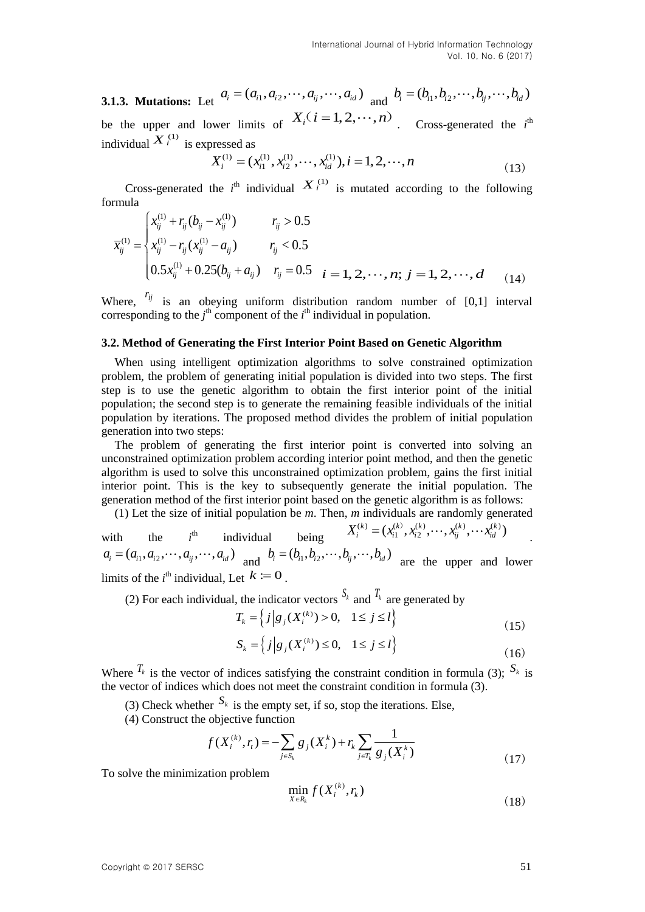International Journal of Hybrid Information Technology  
\nVol. 10, No. 6 (2017)  
\n**3.1.3. Mutations:** Let 
$$
a_i = (a_{i1}, a_{i2}, \dots, a_{ij}, \dots, a_{id})
$$
\nand\n
$$
b_i = (b_{i1}, b_{i2}, \dots, b_{ij}, \dots, b_{id})
$$
\nbe the upper and lower limits of\n
$$
X_i (i = 1, 2, \dots, n)
$$
\nCross-generated the  $i^{\text{th}}$ 

er limits of  $X_i$  ( $i = 1, 2, \dots, n$ ) Cross-generated the  $i^{\text{th}}$ <br>
ssed as<br>  $X_i^{(1)} = (x_{i1}^{(1)}, x_{i2}^{(1)}, \dots, x_{id}^{(1)}), i = 1, 2, \dots, n$  (12) individual  $\hat{X}_i^{(1)}$  is expressed as t<br>wer limits of  $X_i$  ( $i = 1, 2, \dots, n$ )<br>ressed as<br> $X_i^{(1)} = (x_{i1}^{(1)}, x_{i2}^{(1)}, \dots, x_{id}^{(1)}), i = 1, 2, \dots, n$ 

$$
X_i^{(1)} = (x_{i1}^{(1)}, x_{i2}^{(1)}, \cdots, x_{id}^{(1)}), i = 1, 2, \cdots, n
$$
\n(13)

Cross-generated the  $i^{\text{th}}$  individual  $X_i^{(1)}$  is mutated according to the following formula

rmula  
\n
$$
\overline{x}_{ij}^{(1)} = \begin{cases}\nx_{ij}^{(1)} + r_{ij}(b_{ij} - x_{ij}^{(1)}) & r_{ij} > 0.5 \\
x_{ij}^{(1)} - r_{ij}(x_{ij}^{(1)} - a_{ij}) & r_{ij} < 0.5 \\
0.5x_{ij}^{(1)} + 0.25(b_{ij} + a_{ij}) & r_{ij} = 0.5 \\
r_{ij}^{(1)} + r_{ij}^{(1)} + r_{ij}^{(1)} & r_{ij} = 0.5 \\
r_{ij}^{(1)} + r_{ij}^{(1)} + r_{ij}^{(1)} & r_{ij} = 0.5 \\
r_{ij}^{(1)} + r_{ij}^{(1)} + r_{ij}^{(1)} & r_{ij}^{(1)} = 1, 2, \dots, n; \quad j = 1, 2, \dots, d\n\end{cases} (14)
$$

Where,  $r_{ij}$  is an obeying uniform distribution random number of [0,1] interval corresponding to the  $j^{\text{th}}$  component of the  $i^{\text{th}}$  individual in population.

#### **3.2. Method of Generating the First Interior Point Based on Genetic Algorithm**

When using intelligent optimization algorithms to solve constrained optimization problem, the problem of generating initial population is divided into two steps. The first step is to use the genetic algorithm to obtain the first interior point of the initial population; the second step is to generate the remaining feasible individuals of the initial population by iterations. The proposed method divides the problem of initial population generation into two steps:

The problem of generating the first interior point is converted into solving an unconstrained optimization problem according interior point method, and then the genetic algorithm is used to solve this unconstrained optimization problem, gains the first initial interior point. This is the key to subsequently generate the initial population. The generation method of the first interior point based on the genetic algorithm is as follows:

(1) Let the size of initial population be *m*. Then, *m* individuals are randomly generated generation method of the first interior point based on the genetic algorithm is as follocal.<br>
(1) Let the size of initial population be *m*. Then, *m* individuals are randomly gen<br>
with the  $i^{\text{th}}$  individual being  $X_i^{$ generate the initial population.<br>
in the genetic algorithm is as follow<br> *m* individuals are randomly gener<br>  $X_i^{(k)} = (x_{i1}^{(k)}, x_{i2}^{(k)}, \dots, x_{ij}^{(k)}, \dots, x_{id}^{(k)})$  $\lambda$ ,  $\lambda$ . (1) Let the size of initial population be *m*. Then, *m* individuals are randomly generated with the  $i^{\text{th}}$  individual being  $X_i^{(k)} = (x_{i1}^{(k)}, x_{i2}^{(k)}, \dots, x_{ij}^{(k)}, \dots, x_{id}^{(k)})$ <br>  $a_i = (a_{i1}, a_{i2}, \dots, a_{ij}, \dots, a_{id})$  and  $b_i = (b$ *k*  $b_i = (b_{i1}, b_{i2}, \dots, b_{iN})$ <br>*k* := 0

limits of the *i*<sup>th</sup> individual, Let

(2) For each individual, the indicator vectors  $S_k$  and  $T_k$  are generated by

Let 
$$
k := 0
$$
.  
\n1, the indicator vectors  $S_k$  and  $T_k$  are generated by  
\n
$$
T_k = \left\{ j \middle| g_j(X_i^{(k)}) > 0, \quad 1 \le j \le l \right\}
$$
\n
$$
S_k = \left\{ j \middle| g_j(X_i^{(k)}) \le 0, \quad 1 \le j \le l \right\}
$$
\n(16)

$$
S_k = \left\{ j \middle| g_j(X_i^{(k)}) \le 0, \quad 1 \le j \le l \right\} \tag{16}
$$

Where  $T_k$  is the vector of indices satisfying the constraint condition in formula (3);  $S_k$  is the vector of indices which does not meet the constraint condition in formula (3).

- 
- 

The 
$$
I_k
$$
 is the vector of indices satisfying the constraint condition in formula (3);  $S_k$  is  
vector of indices which does not meet the constraint condition in formula (3).  
(3) Check whether  $S_k$  is the empty set, if so, stop the iterations. Else,  
(4) Construct the objective function  

$$
f(X_i^{(k)}, r_i) = -\sum_{j \in S_k} g_j(X_i^k) + r_k \sum_{j \in T_k} \frac{1}{g_j(X_i^k)}
$$
(17)

To solve the minimization problem

$$
\min_{X \in R_k} f(X_i^{(k)}, r_k)
$$
\n
$$
\min_{X \in R_k} f(X_i^{(k)}, r_k)
$$
\n(18)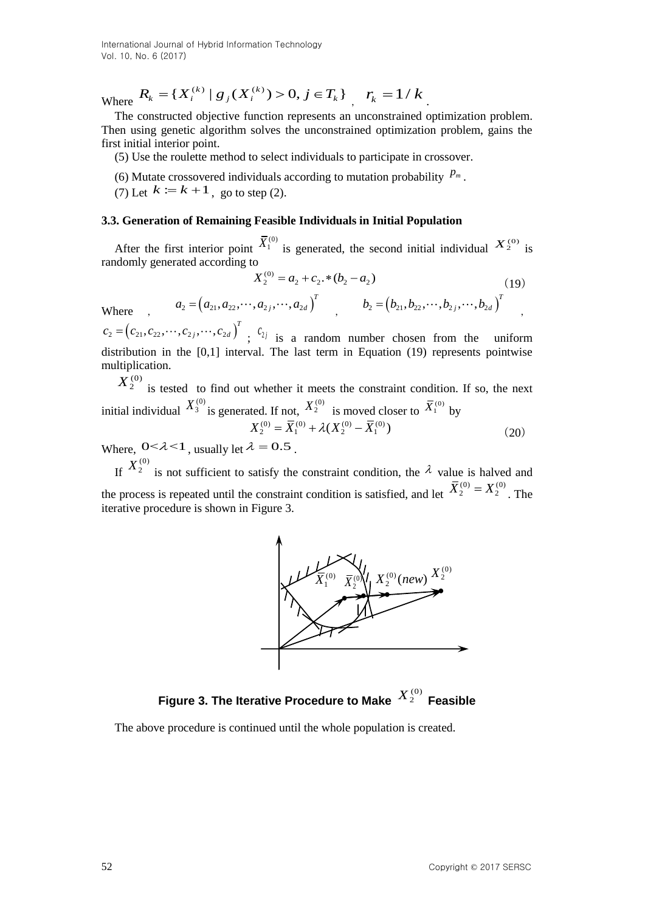International Journal of Hybrid Information Technology Vol. 10, No. 6 (2017)

International Journal of Hybrid Information Technology  
\nVol. 10, No. 6 (2017)  
\nWhere 
$$
R_k = \{X_i^{(k)} | g_j(X_i^{(k)}) > 0, j \in T_k\}
$$
,  $r_k = 1/k$ .  
\nThe constructed choice function represents an unconstrained origin

The constructed objective function represents an unconstrained optimization problem. Then using genetic algorithm solves the unconstrained optimization problem, gains the first initial interior point. interior point.<br>the roulette method to s<br>ate crossovered individual<br> $k := k + 1$ , go to step

(5) Use the roulette method to select individuals to participate in crossover.

(6) Mutate crossovered individuals according to mutation probability  $P_m$ .

(7) Let  $k := k + 1$ , go to step (2).

# **3.3. Generation of Remaining Feasible Individuals in Initial Population**

After the first interior point  $\overline{X}_1^{(0)}$  is generated, the second initial individual  $X_2^{(0)}$  is randomly generated according to  $\overline{X}_1^{(0)}$  is generated, the second in <br>  $X_2^{(0)} = a_2 + c_2$  \*  $(b_2 - a_2)$ 

randomly generated according to  
\n
$$
X_2^{(0)} = a_2 + c_2 \cdot * (b_2 - a_2)
$$
\n
$$
a_2 = (a_{21}, a_{22}, \cdots, a_{2j}, \cdots, a_{2d})^T, \qquad b_2 = (b_{21}, b_{22}, \cdots, b_{2j}, \cdots, b_{2d})^T
$$
\n(19)

Where  $a_2 = (a_{21}, a_{22}, \cdots)$ <br>  $a_2 = (c_{21}, c_{22}, \cdots, c_{2j}, \cdots, c_{2d})^T$ ; *T* Where  $a_2 = (a_{21}, a_{22}, \cdots, a_{2j}, \cdots, a_{2d})^T$ ,  $b_2 = (b_{21}, b_{22}, \cdots, b_{2j}, \cdots, b_{2d})^T$ ,<br>  $c_2 = (c_{21}, c_{22}, \cdots, c_{2j}, \cdots, c_{2d})^T$ ;  $c_{2j}$  is a random number chosen from the uniform distribution in the [0,1] interval. The last term in Equation (19) represents pointwise multiplication.

 $X_2^{(0)}$  is tested to find out whether it meets the constraint condition. If so, the next initial individual  $X_3^{(0)}$  is generated. If not,  $X_2^{(0)}$  is moved closer to  $\overline{X}_1^{(0)}$  by  $X_2^{(0)} = \overline{X}_1^{(0)} + \lambda (X_2^{(0)} - \overline{X}_1^{(0)})$ whether it meets the constraint cor<br>ted. If not,  $X_2^{(0)}$  is moved closer to<br> $X_2^{(0)} = \overline{X}_1^{(0)} + \lambda (X_2^{(0)} - \overline{X}_1^{(0)})$  $(20)$ dividual  $X_3^{(0)}$  is gen<br>O< $\lambda$ <1, usually l

Where,  $0<\lambda<1$ , usually let  $\lambda=0.5$ .

If  $X_2^{(0)}$  is not sufficient to satisfy the constraint condition, the  $\lambda$  value is halved and the process is repeated until the constraint condition is satisfied, and let  $\overline{X}_2^{(0)} = X_2^{(0)}$ . The iterative procedure is shown in Figure 3.



**Figure 3. The Iterative Procedure to Make** (0) *X*<sup>2</sup> **Feasible**

The above procedure is continued until the whole population is created.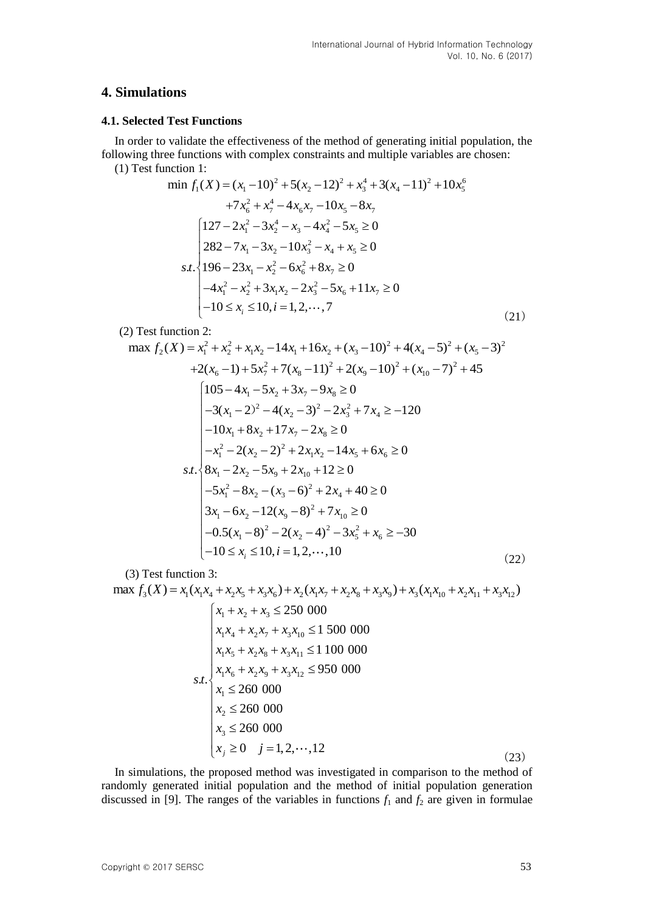# **4. Simulations**

#### **4.1. Selected Test Functions**

In order to validate the effectiveness of the method of generating initial population, the lowing three functions with complex constraints and multiple variables are chosen:<br>
(1) Test function 1:<br>  $\min f_1(X) = (x_1 - 10)^2 + 5(x_$ (1) Test function 1:

following three functions with complex constraints and multiple variables are chosen:  
\n(1) Test function 1:  
\n
$$
\min f_1(X) = (x_1 - 10)^2 + 5(x_2 - 12)^2 + x_3^4 + 3(x_4 - 11)^2 + 10x_5^6
$$
\n
$$
+7x_6^2 + x_7^4 - 4x_6x_7 - 10x_5 - 8x_7
$$
\n
$$
\begin{cases}\n127 - 2x_1^2 - 3x_2^4 - x_3 - 4x_4^2 - 5x_5 \ge 0 \\
282 - 7x_1 - 3x_2 - 10x_3^2 - x_4 + x_5 \ge 0\n\end{cases}
$$
\n
$$
s.t. \begin{cases}\n196 - 23x_1 - x_2^2 - 6x_6^2 + 8x_7 \ge 0 \\
-4x_1^2 - x_2^2 + 3x_1x_2 - 2x_3^2 - 5x_6 + 11x_7 \ge 0 \\
-10 \le x_i \le 10, i = 1, 2, \dots, 7\n\end{cases}
$$
\n(21)

(2) Test function 2:

$$
\begin{bmatrix}\n-1 & 2 & 3 & 3 & 3 & 6 \\
-10 \le x_i \le 10, i = 1, 2, \dots, 7 & (21) \\
\max f_2(X) = x_1^2 + x_2^2 + x_1x_2 - 14x_1 + 16x_2 + (x_3 - 10)^2 + 4(x_4 - 5)^2 + (x_5 - 3)^2 \\
+2(x_6 - 1) + 5x_7^2 + 7(x_8 - 11)^2 + 2(x_9 - 10)^2 + (x_{10} - 7)^2 + 45\n\end{bmatrix}
$$
\n
$$
\begin{bmatrix}\n105 - 4x_1 - 5x_2 + 3x_7 - 9x_8 \ge 0 \\
-3(x_1 - 2)^2 - 4(x_2 - 3)^2 - 2x_3^2 + 7x_4 \ge -120 \\
-10x_1 + 8x_2 + 17x_7 - 2x_8 \ge 0 \\
-x_1^2 - 2(x_2 - 2)^2 + 2x_1x_2 - 14x_5 + 6x_6 \ge 0\n\end{bmatrix}
$$
\n*s.t.*\n
$$
\begin{cases}\n8x_1 - 2x_2 - 5x_9 + 2x_{10} + 12 \ge 0 \\
8x_1 - 2x_2 - 5x_9 + 2x_{10} + 12 \ge 0 \\
-5x_1^2 - 8x_2 - (x_3 - 6)^2 + 2x_4 + 40 \ge 0 \\
3x_1 - 6x_2 - 12(x_9 - 8)^2 + 7x_{10} \ge 0 \\
-0.5(x_1 - 8)^2 - 2(x_2 - 4)^2 - 3x_5^2 + x_6 \ge -30 \\
-10 \le x_i \le 10, i = 1, 2, \dots, 10\n\end{cases}
$$
\n(3) Test function 3:  
\n
$$
\max f_3(X) = x_1(x_1x_4 + x_2x_5 + x_3x_6) + x_2(x_1x_7 + x_2x_8 + x_3x_9) + x_3(x_1x_{10} + x_2x_{11} + x_3x_{12})
$$
\n(4)

(3) Test function 3:

$$
\max f_3(X) = x_1(x_1x_4 + x_2x_5 + x_3x_6) + x_2(x_1x_7 + x_2x_8 + x_3x_9) + x_3(x_1x_{10} + x_2x_{11} + x_3x_{12})
$$
\n
$$
\begin{cases}\nx_1 + x_2 + x_3 \le 250\ 000 \\
x_1x_4 + x_2x_7 + x_3x_{10} \le 1\ 500\ 000 \\
x_1x_5 + x_2x_8 + x_3x_{11} \le 1\ 100\ 000 \\
x_1x_6 + x_2x_9 + x_3x_{12} \le 950\ 000 \\
x_1 \le 260\ 000 \\
x_2 \le 260\ 000 \\
x_3 \le 260\ 000 \\
x_3 \ge 0\ \ j = 1, 2, \cdots, 12\n\end{cases}
$$
\n(23)

In simulations, the proposed method was investigated in comparison to the method of randomly generated initial population and the method of initial population generation discussed in [9]. The ranges of the variables in functions  $f_1$  and  $f_2$  are given in formulae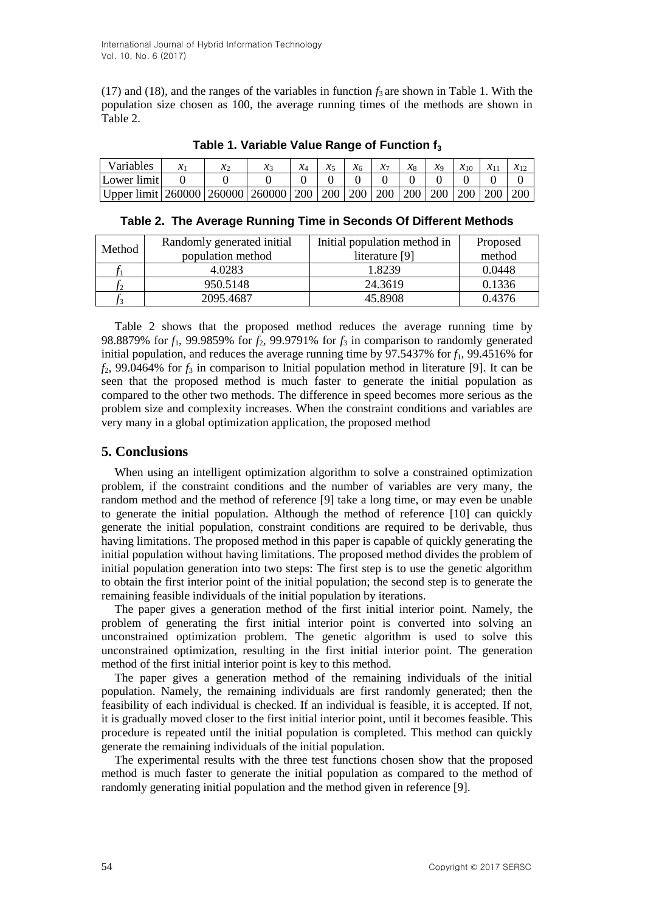(17) and (18), and the ranges of the variables in function  $f_3$  are shown in Table 1. With the population size chosen as 100, the average running times of the methods are shown in Table 2.

| Variables                                                |  | $\lambda$ 4 | $\chi_{\rm 6}$ | $\chi_7$ | $\chi_{\text{R}}$ | $\chi_{\text{Q}}$ | $x_{10}$        | $\chi_{11}$ |            |
|----------------------------------------------------------|--|-------------|----------------|----------|-------------------|-------------------|-----------------|-------------|------------|
| Lower limit                                              |  |             |                |          |                   |                   |                 |             |            |
| Upper limit   260000   260000   260000   200   200   200 |  |             |                | 200 200  |                   |                   | 200   200   200 |             | <b>200</b> |

|  |  |  |  |  |  | Table 2. The Average Running Time in Seconds Of Different Methods |
|--|--|--|--|--|--|-------------------------------------------------------------------|
|--|--|--|--|--|--|-------------------------------------------------------------------|

| Method | Randomly generated initial | Initial population method in | Proposed |
|--------|----------------------------|------------------------------|----------|
|        | population method          | literature [9]               | method   |
|        | 4.0283                     | 1.8239                       | 0.0448   |
|        | 950.5148                   | 24.3619                      | 0.1336   |
|        | 2095.4687                  | 45.8908                      | 0.4376   |

Table 2 shows that the proposed method reduces the average running time by 98.8879% for *f*1, 99.9859% for *f*2, 99.9791% for *f*<sup>3</sup> in comparison to randomly generated initial population, and reduces the average running time by  $97.5437\%$  for  $f_1$ ,  $99.4516\%$  for  $f_2$ , 99.0464% for  $f_3$  in comparison to Initial population method in literature [9]. It can be seen that the proposed method is much faster to generate the initial population as compared to the other two methods. The difference in speed becomes more serious as the problem size and complexity increases. When the constraint conditions and variables are very many in a global optimization application, the proposed method

# **5. Conclusions**

When using an intelligent optimization algorithm to solve a constrained optimization problem, if the constraint conditions and the number of variables are very many, the random method and the method of reference [9] take a long time, or may even be unable to generate the initial population. Although the method of reference [10] can quickly generate the initial population, constraint conditions are required to be derivable, thus having limitations. The proposed method in this paper is capable of quickly generating the initial population without having limitations. The proposed method divides the problem of initial population generation into two steps: The first step is to use the genetic algorithm to obtain the first interior point of the initial population; the second step is to generate the remaining feasible individuals of the initial population by iterations.

The paper gives a generation method of the first initial interior point. Namely, the problem of generating the first initial interior point is converted into solving an unconstrained optimization problem. The genetic algorithm is used to solve this unconstrained optimization, resulting in the first initial interior point. The generation method of the first initial interior point is key to this method.

The paper gives a generation method of the remaining individuals of the initial population. Namely, the remaining individuals are first randomly generated; then the feasibility of each individual is checked. If an individual is feasible, it is accepted. If not, it is gradually moved closer to the first initial interior point, until it becomes feasible. This procedure is repeated until the initial population is completed. This method can quickly generate the remaining individuals of the initial population.

The experimental results with the three test functions chosen show that the proposed method is much faster to generate the initial population as compared to the method of randomly generating initial population and the method given in reference [9].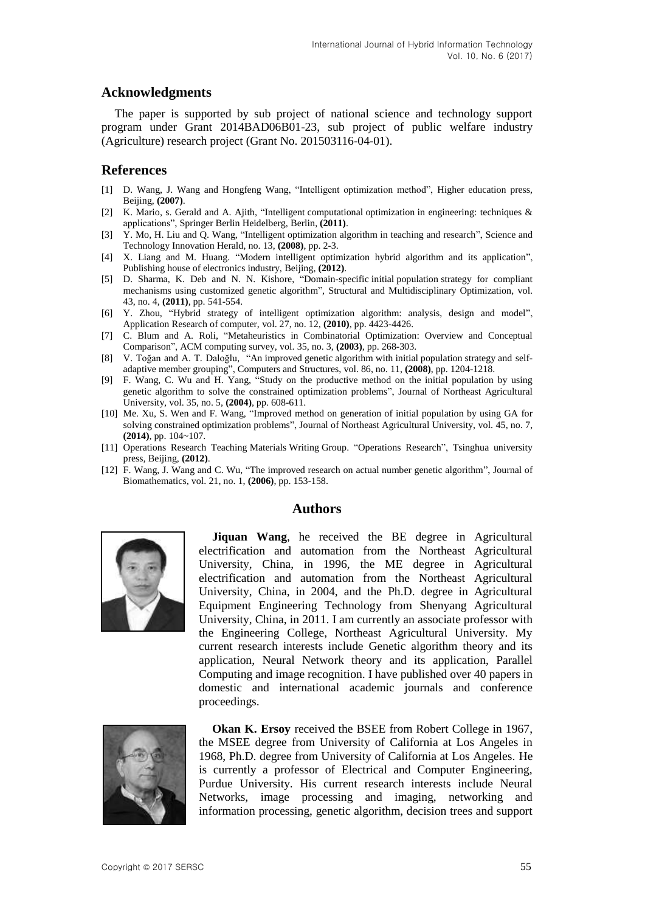# **Acknowledgments**

The paper is supported by sub project of national science and technology support program under Grant 2014BAD06B01-23, sub project of public welfare industry (Agriculture) research project (Grant No. 201503116-04-01).

# **References**

- [1] D. Wang, J. Wang and Hongfeng Wang, "Intelligent optimization method", Higher education press, Beijing, **(2007)**.
- [2] K. Mario, s. Gerald and A. Ajith, "Intelligent computational optimization in engineering: techniques & applications", Springer Berlin Heidelberg, Berlin, **(2011)**.
- [3] Y. Mo, H. Liu and Q. Wang, "Intelligent optimization algorithm in teaching and research", Science and Technology Innovation Herald, no. 13, **(2008)**, pp. 2-3.
- [4] X. Liang and M. Huang. "Modern intelligent optimization hybrid algorithm and its application", Publishing house of electronics industry, Beijing, **(2012)**.
- [5] D. Sharma, K. Deb and N. N. Kishore, "Domain-specific initial population strategy for compliant mechanisms using customized genetic algorithm", Structural and Multidisciplinary Optimization, vol. 43, no. 4, **(2011)**, pp. 541-554.
- [6] Y. Zhou, "Hybrid strategy of intelligent optimization algorithm: analysis, design and model", Application Research of computer, vol. 27, no. 12, **(2010)**, pp. 4423-4426.
- [7] C. Blum and A. Roli, "Metaheuristics in Combinatorial Optimization: Overview and Conceptual Comparison", ACM computing survey, vol. 35, no. 3, **(2003)**, pp. 268-303.
- [8] V. Toğan and A. T. Daloğlu, "An improved genetic algorithm with initial population strategy and selfadaptive member grouping", Computers and Structures, vol. 86, no. 11, **(2008)**, pp. 1204-1218.
- [9] F. Wang, C. Wu and H. Yang, "Study on the productive method on the initial population by using genetic algorithm to solve the constrained optimization problems", Journal of Northeast Agricultural University, vol. 35, no. 5, **(2004)**, pp. 608-611.
- [10] Me. Xu, S. Wen and F. Wang, "Improved method on generation of initial population by using GA for solving constrained optimization problems", Journal of Northeast Agricultural University, vol. 45, no. 7, **(2014)**, pp. 104~107.
- [11] Operations Research Teaching Materials Writing Group. "Operations Research", Tsinghua university press, Beijing, **(2012)**.
- [12] F. Wang, J. Wang and C. Wu, "The improved research on actual number genetic algorithm", Journal of Biomathematics, vol. 21, no. 1, **(2006)**, pp. 153-158.

## **Authors**



**Jiquan Wang**, he received the BE degree in Agricultural electrification and automation from the Northeast Agricultural University, China, in 1996, the ME degree in Agricultural electrification and automation from the Northeast Agricultural University, China, in 2004, and the Ph.D. degree in Agricultural Equipment Engineering Technology from Shenyang Agricultural University, China, in 2011. I am currently an associate professor with the Engineering College, Northeast Agricultural University. My current research interests include Genetic algorithm theory and its application, Neural Network theory and its application, Parallel Computing and image recognition. I have published over 40 papers in domestic and international academic journals and conference proceedings.



**Okan K. Ersoy** received the BSEE from Robert College in 1967, the MSEE degree from University of California at Los Angeles in 1968, Ph.D. degree from University of California at Los Angeles. He is currently a professor of Electrical and Computer Engineering, Purdue University. His current research interests include Neural Networks, image processing and imaging, networking and information processing, genetic algorithm, decision trees and support